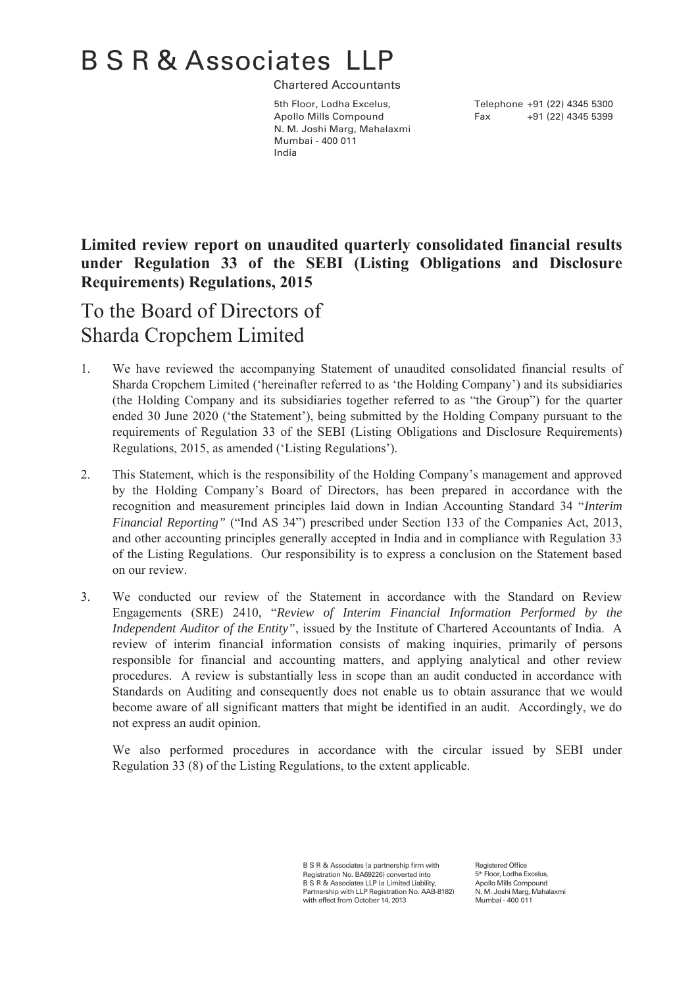# B S R & Associates LLP

Chartered Accountants

Apollo Mills Compound Fax +91 (22) 4345 5399 N. M. Joshi Marg, Mahalaxmi Mumbai - 400 011 India

5th Floor, Lodha Excelus, Telephone +91 (22) 4345 5300

## **Limited review report on unaudited quarterly consolidated financial results under Regulation 33 of the SEBI (Listing Obligations and Disclosure Requirements) Regulations, 2015**

# To the Board of Directors of Sharda Cropchem Limited

- 1. We have reviewed the accompanying Statement of unaudited consolidated financial results of Sharda Cropchem Limited ('hereinafter referred to as 'the Holding Company') and its subsidiaries (the Holding Company and its subsidiaries together referred to as "the Group") for the quarter ended 30 June 2020 ('the Statement'), being submitted by the Holding Company pursuant to the requirements of Regulation 33 of the SEBI (Listing Obligations and Disclosure Requirements) Regulations, 2015, as amended ('Listing Regulations').
- 2. This Statement, which is the responsibility of the Holding Company's management and approved by the Holding Company's Board of Directors, has been prepared in accordance with the recognition and measurement principles laid down in Indian Accounting Standard 34 "*Interim Financial Reporting"* ("Ind AS 34") prescribed under Section 133 of the Companies Act, 2013, and other accounting principles generally accepted in India and in compliance with Regulation 33 of the Listing Regulations. Our responsibility is to express a conclusion on the Statement based on our review.
- 3. We conducted our review of the Statement in accordance with the Standard on Review Engagements (SRE) 2410, "*Review of Interim Financial Information Performed by the Independent Auditor of the Entity"*, issued by the Institute of Chartered Accountants of India. A review of interim financial information consists of making inquiries, primarily of persons responsible for financial and accounting matters, and applying analytical and other review procedures. A review is substantially less in scope than an audit conducted in accordance with Standards on Auditing and consequently does not enable us to obtain assurance that we would become aware of all significant matters that might be identified in an audit. Accordingly, we do not express an audit opinion.

We also performed procedures in accordance with the circular issued by SEBI under Regulation 33 (8) of the Listing Regulations, to the extent applicable.

> B S R & Associates (a partnership firm with Registration No. BA69226) converted into B S R & Associates LLP (a Limited Liability Partnership with LLP Registration No. AAB-8182) with effect from October 14, 2013

Registered Office 5<sup>th</sup> Floor, Lodha Excelus, Apollo Mills Compound N. M. Joshi Marg, Mahalaxmi Mumbai - 400 011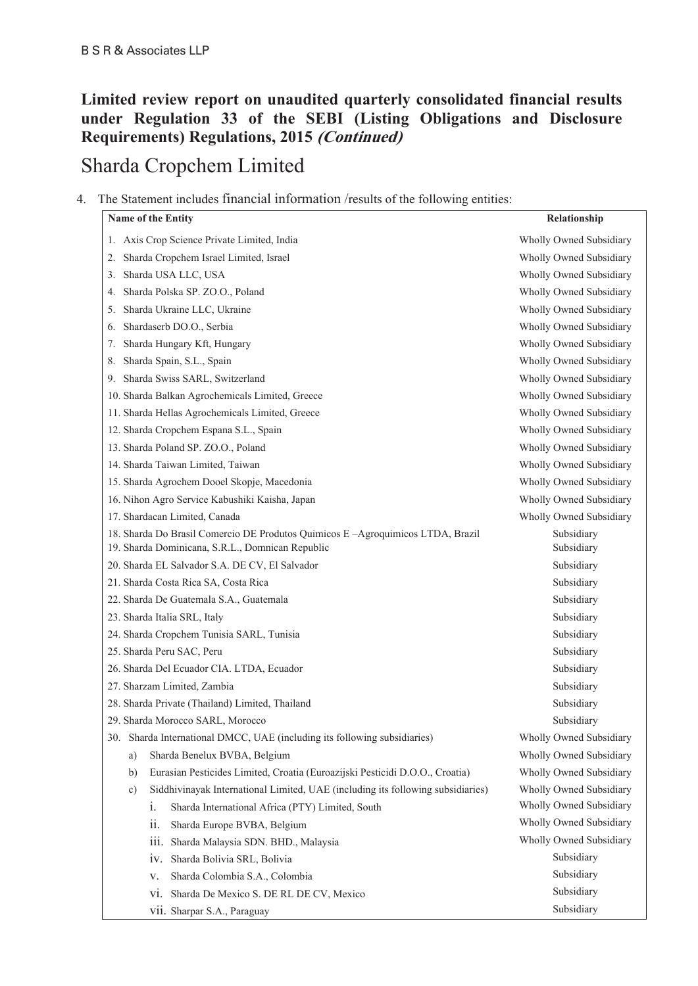### **Limited review report on unaudited quarterly consolidated financial results under Regulation 33 of the SEBI (Listing Obligations and Disclosure Requirements) Regulations, 2015 (Continued)**

# Sharda Cropchem Limited

### 4. The Statement includes financial information /results of the following entities:

| <b>Name of the Entity</b>                                                                    | Relationship            |
|----------------------------------------------------------------------------------------------|-------------------------|
| Axis Crop Science Private Limited, India<br>1.                                               | Wholly Owned Subsidiary |
| Sharda Cropchem Israel Limited, Israel<br>2.                                                 | Wholly Owned Subsidiary |
| Sharda USA LLC, USA<br>3.                                                                    | Wholly Owned Subsidiary |
| Sharda Polska SP. ZO.O., Poland<br>4.                                                        | Wholly Owned Subsidiary |
| Sharda Ukraine LLC, Ukraine<br>5.                                                            | Wholly Owned Subsidiary |
| Shardaserb DO.O., Serbia<br>6.                                                               | Wholly Owned Subsidiary |
| Sharda Hungary Kft, Hungary<br>7.                                                            | Wholly Owned Subsidiary |
| Sharda Spain, S.L., Spain<br>8.                                                              | Wholly Owned Subsidiary |
| Sharda Swiss SARL, Switzerland<br>9.                                                         | Wholly Owned Subsidiary |
| 10. Sharda Balkan Agrochemicals Limited, Greece                                              | Wholly Owned Subsidiary |
| 11. Sharda Hellas Agrochemicals Limited, Greece                                              | Wholly Owned Subsidiary |
| 12. Sharda Cropchem Espana S.L., Spain                                                       | Wholly Owned Subsidiary |
| 13. Sharda Poland SP. ZO.O., Poland                                                          | Wholly Owned Subsidiary |
| 14. Sharda Taiwan Limited, Taiwan                                                            | Wholly Owned Subsidiary |
| 15. Sharda Agrochem Dooel Skopje, Macedonia                                                  | Wholly Owned Subsidiary |
| 16. Nihon Agro Service Kabushiki Kaisha, Japan                                               | Wholly Owned Subsidiary |
| 17. Shardacan Limited, Canada                                                                | Wholly Owned Subsidiary |
| 18. Sharda Do Brasil Comercio DE Produtos Quimicos E - Agroquimicos LTDA, Brazil             | Subsidiary              |
| 19. Sharda Dominicana, S.R.L., Domnican Republic                                             | Subsidiary              |
| 20. Sharda EL Salvador S.A. DE CV, El Salvador                                               | Subsidiary              |
| 21. Sharda Costa Rica SA, Costa Rica                                                         | Subsidiary              |
| 22. Sharda De Guatemala S.A., Guatemala                                                      | Subsidiary              |
| 23. Sharda Italia SRL, Italy                                                                 | Subsidiary              |
| 24. Sharda Cropchem Tunisia SARL, Tunisia                                                    | Subsidiary              |
| 25. Sharda Peru SAC, Peru                                                                    | Subsidiary              |
| 26. Sharda Del Ecuador CIA. LTDA, Ecuador                                                    | Subsidiary              |
| 27. Sharzam Limited, Zambia                                                                  | Subsidiary              |
| 28. Sharda Private (Thailand) Limited, Thailand                                              | Subsidiary              |
| 29. Sharda Morocco SARL, Morocco                                                             | Subsidiary              |
| 30. Sharda International DMCC, UAE (including its following subsidiaries)                    | Wholly Owned Subsidiary |
| Sharda Benelux BVBA, Belgium<br>a)                                                           | Wholly Owned Subsidiary |
| Eurasian Pesticides Limited, Croatia (Euroazijski Pesticidi D.O.O., Croatia)<br>b)           | Wholly Owned Subsidiary |
| Siddhivinayak International Limited, UAE (including its following subsidiaries)<br>$\circ$ ) | Wholly Owned Subsidiary |
| Sharda International Africa (PTY) Limited, South<br>$\overline{1}$ .                         | Wholly Owned Subsidiary |
| Sharda Europe BVBA, Belgium<br>11.                                                           | Wholly Owned Subsidiary |
| Sharda Malaysia SDN. BHD., Malaysia<br>111.                                                  | Wholly Owned Subsidiary |
| Sharda Bolivia SRL, Bolivia<br>1V.                                                           | Subsidiary              |
| Sharda Colombia S.A., Colombia<br>V.                                                         | Subsidiary              |
| Sharda De Mexico S. DE RL DE CV, Mexico<br>V1.                                               | Subsidiary              |
| Vii. Sharpar S.A., Paraguay                                                                  | Subsidiary              |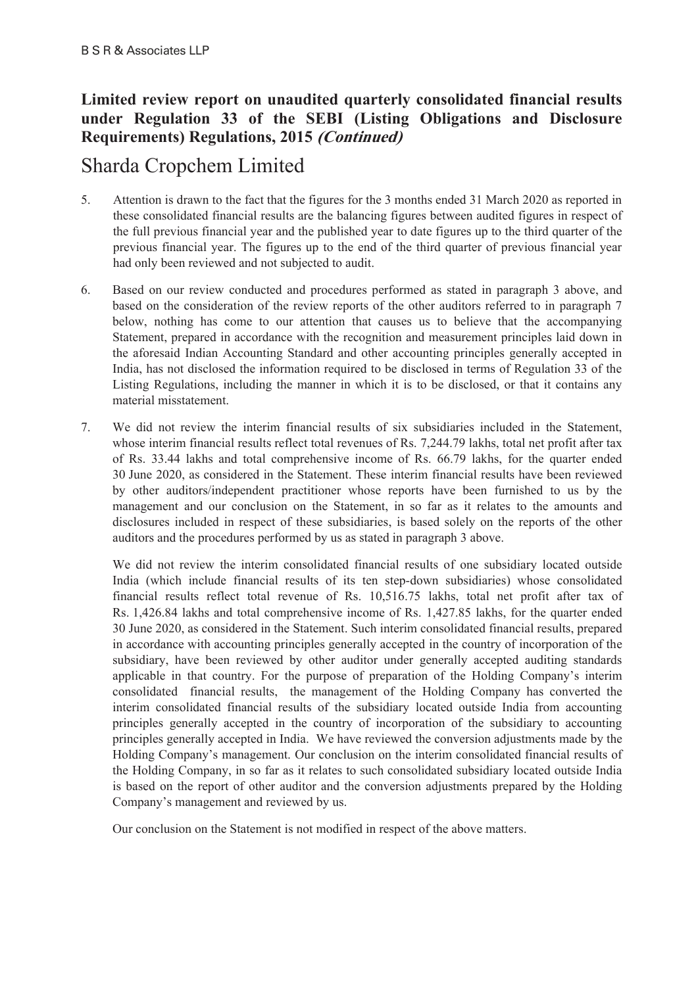### **Limited review report on unaudited quarterly consolidated financial results under Regulation 33 of the SEBI (Listing Obligations and Disclosure Requirements) Regulations, 2015 (Continued)**

# Sharda Cropchem Limited

- 5. Attention is drawn to the fact that the figures for the 3 months ended 31 March 2020 as reported in these consolidated financial results are the balancing figures between audited figures in respect of the full previous financial year and the published year to date figures up to the third quarter of the previous financial year. The figures up to the end of the third quarter of previous financial year had only been reviewed and not subjected to audit.
- 6. Based on our review conducted and procedures performed as stated in paragraph 3 above, and based on the consideration of the review reports of the other auditors referred to in paragraph 7 below, nothing has come to our attention that causes us to believe that the accompanying Statement, prepared in accordance with the recognition and measurement principles laid down in the aforesaid Indian Accounting Standard and other accounting principles generally accepted in India, has not disclosed the information required to be disclosed in terms of Regulation 33 of the Listing Regulations, including the manner in which it is to be disclosed, or that it contains any material misstatement.
- 7. We did not review the interim financial results of six subsidiaries included in the Statement, whose interim financial results reflect total revenues of Rs. 7,244.79 lakhs, total net profit after tax of Rs. 33.44 lakhs and total comprehensive income of Rs. 66.79 lakhs, for the quarter ended 30 June 2020, as considered in the Statement. These interim financial results have been reviewed by other auditors/independent practitioner whose reports have been furnished to us by the management and our conclusion on the Statement, in so far as it relates to the amounts and disclosures included in respect of these subsidiaries, is based solely on the reports of the other auditors and the procedures performed by us as stated in paragraph 3 above.

We did not review the interim consolidated financial results of one subsidiary located outside India (which include financial results of its ten step-down subsidiaries) whose consolidated financial results reflect total revenue of Rs. 10,516.75 lakhs, total net profit after tax of Rs. 1,426.84 lakhs and total comprehensive income of Rs. 1,427.85 lakhs, for the quarter ended 30 June 2020, as considered in the Statement. Such interim consolidated financial results, prepared in accordance with accounting principles generally accepted in the country of incorporation of the subsidiary, have been reviewed by other auditor under generally accepted auditing standards applicable in that country. For the purpose of preparation of the Holding Company's interim consolidated financial results, the management of the Holding Company has converted the interim consolidated financial results of the subsidiary located outside India from accounting principles generally accepted in the country of incorporation of the subsidiary to accounting principles generally accepted in India. We have reviewed the conversion adjustments made by the Holding Company's management. Our conclusion on the interim consolidated financial results of the Holding Company, in so far as it relates to such consolidated subsidiary located outside India is based on the report of other auditor and the conversion adjustments prepared by the Holding Company's management and reviewed by us.

Our conclusion on the Statement is not modified in respect of the above matters.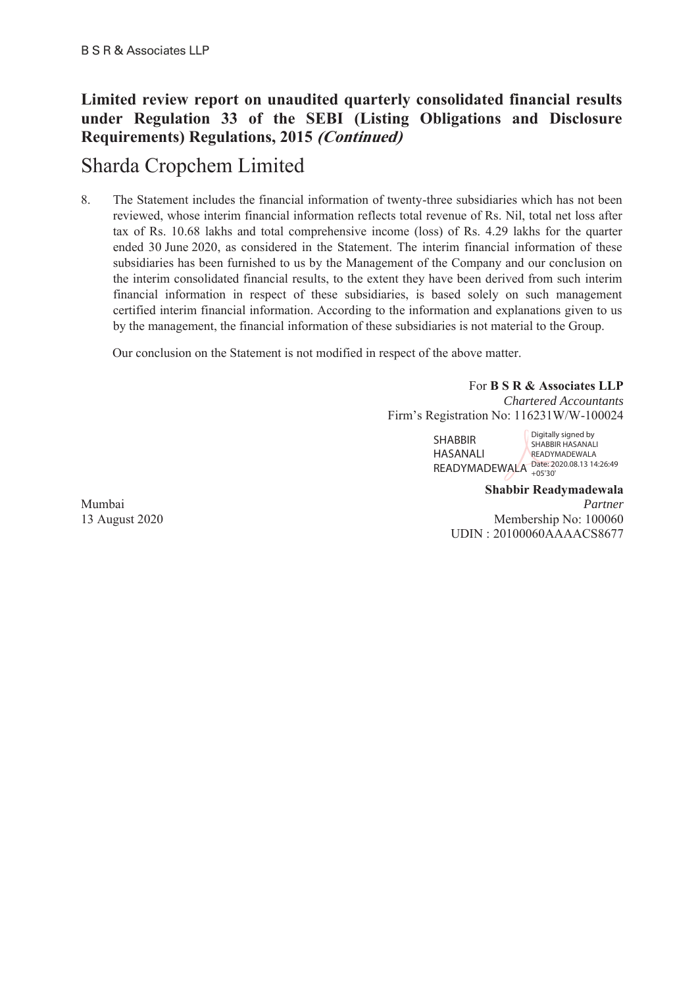### **Limited review report on unaudited quarterly consolidated financial results under Regulation 33 of the SEBI (Listing Obligations and Disclosure Requirements) Regulations, 2015 (Continued)**

# Sharda Cropchem Limited

8. The Statement includes the financial information of twenty-three subsidiaries which has not been reviewed, whose interim financial information reflects total revenue of Rs. Nil, total net loss after tax of Rs. 10.68 lakhs and total comprehensive income (loss) of Rs. 4.29 lakhs for the quarter ended 30 June 2020, as considered in the Statement. The interim financial information of these subsidiaries has been furnished to us by the Management of the Company and our conclusion on the interim consolidated financial results, to the extent they have been derived from such interim financial information in respect of these subsidiaries, is based solely on such management certified interim financial information. According to the information and explanations given to us by the management, the financial information of these subsidiaries is not material to the Group.

Our conclusion on the Statement is not modified in respect of the above matter.

For **B S R & Associates LLP** *Chartered Accountants* Firm's Registration No: 116231W/W-100024

> SHABBIR HASANALI READYMADEWALA Date: 2020.08.13 14:26:49 Digitally signed by SHABBIR HASANALI **READYMADEWALA** +05'30'

**Shabbir Readymadewala**  Mumbai *Partner*  13 August 2020 Membership No: 100060 UDIN : 20100060AAAACS8677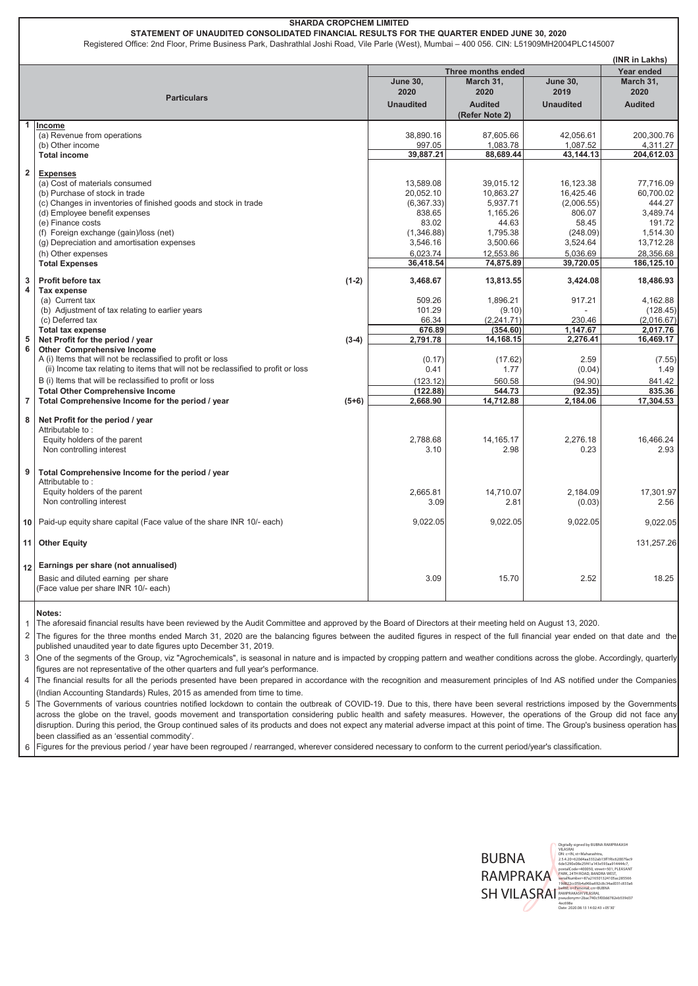#### **(INR in Lakhs) Year ended Unaudited Audited (Refer Note 2) Unaudited Audited 1 Income** (a) Revenue from operations  $\begin{array}{ccc} 38,890.16 & 38,890.16 \\ 42,056.61 & 200,300.76 \\ 697.05 & 1,083.78 \end{array}$   $\begin{array}{ccc} 37,605.66 & 42,056.61 & 200,300.76 \\ 1,087.52 & 4,311.27 \end{array}$ (b) Other income 1,083.78 1,083.78 1,083.78 1,087.52 4,311.27 **Total income 39,887.21 88,689.44 43,144.13 204,612.03 2 Expenses** (a) Cost of materials consumed 13,589.08 13,589.08 39,015.12 16,123.38 77,716.09 16,123.38 77,716.09 16,425.46 16,425.46 16,425.46 16,425.46 16,425.46 16,425.46 16,425.46 17,716.09 17,716.09 16,425.46 16,425.46 16,425.46 1 (b) Purchase of stock in trade 60,700.02<br>(c) Changes in inventories of finished goods and stock in trade (c) (6,367.33) (6,367.33) (2,006.55) (2,006.55 (c) Changes in inventories of finished goods and stock in trade  $(367.33)$  (6,367.33) (3,937.71 (2,006.55) 444.27 (4) Employee benefit expenses (d) Employee benefit expenses (d) Employee benefit expenses and the state of the state of the state of the state of the state of the state of the state of the state of the state of the state of the state of the state of the state of the state of the st (e) Finance costs 83.02 | 44.63 | 58.45 | 191.72 (f) Foreign exchange (gain)/loss (net)  $(1,346.88)$   $(1,346.88)$   $(1,346.88)$   $(1,346.88)$   $(248.09)$   $(248.09)$   $(1,350)$   $(248.09)$   $(1,346.88)$   $(3,500.66)$   $(3,500.66)$   $(3,524.64)$   $(1,346.88)$   $(248.09)$   $(248.09)$  (g) Depreciation and amortisation expenses (h) Other expenses 28,356.68 28,356.68 28,356.68 28,356.68 28,356.68 28,356.68 28,356.68 28,356.68 28,356.68 28,356.68 28,356.68 28,356.68 28,356.68 28,356.68 28,356.68 28,356.68 28,356.68 28,356.68 28,356.68 28,356.68 28, **Total Expenses 36,418.54 74,875.89 39,720.05 186,125.10 3 Profit before tax (1-2) 3,468.67 13,813.55 3,424.08 18,486.93 4 Tax expense** (a) Current tax 1,896.21 1,896.21 509.26 1,896.21 917.21 4,162.88 (b) Adjustment of tax relating to earlier years (b) Adjustment of tax relating to earlier years (c) Deferred tax (2.016.67 (c) Deferred tax (2.016.67 (c) Deferred tax (2.016.67 (c) Deferred tax (2.016.67 (c) Deferred tax ( (c) Deferred tax (2,016.67) (2,241.71) (2,241.71) (2,241.71) (2,241.71) (2,016.67) **Total tax expense 676.89 (354.60) 1,147.67 2,017.76 5** Net Profit for the period / year (3-4) 2,791.78 14,168.15 2,276.41 16,469.17 **Other Comprehensive Income** A (i) Items that will not be reclassified to profit or loss (7.55 (0.17) (0.17) (17.62) 2.59 (7.55 (ii) Income tax relating to items that will not be reclassified to profit or loss  $1.49$  (0.41 (1.77 |  $(0.04)$  1.49 B (i) Items that will be reclassified to profit or loss  $(123.12)$   $560.58$   $(94.90)$   $841.42$ <br> **122.88** (92.35) **835.36** (92.35) 835.36  **Total Other Comprehensive Income Comprehensive Income Comprehensive Income Comprehensive Income for the period / year (122.88) (5+6) (122.88) 544.73 (92.35) 835.36 835.36 (92.35) 835.36 17,304.53 (92.35) 835.36 (5+6) 2,6 7** Total Comprehensive Income for the period / year (5+6)  $(5+6)$   $(2,668.90)$   $(14,712.88)$ **8 Net Profit for the period / year**  Attributable to : Equity holders of the parent 16,466.24 14,165.17 2,788.68 2,276.18 2,276.18 16,466.24 Non controlling interest 2.93 2.93 **9 Total Comprehensive Income for the period / year**  Attributable to : Equity holders of the parent 14,710.07 2,184.09 17,301.97 Non controlling interest 3.09 2.81 (0.03) 2.56 **10** 9,022.05 9,022.05 9,022.05 9,022.05 Paid-up equity share capital (Face value of the share INR 10/- each) **11 Other Equity** 131,257.26 **12 Earnings per share (not annualised)**  Basic and diluted earning per share (Face value per share INR 10/- each) 15.70 3.09 2.52 18.25 **Notes:** 1 The aforesaid financial results have been reviewed by the Audit Committee and approved by the Board of Directors at their meeting held on August 13, 2020. **SHARDA CROPCHEM LIMITED STATEMENT OF UNAUDITED CONSOLIDATED FINANCIAL RESULTS FOR THE QUARTER ENDED JUNE 30, 2020** Registered Office: 2nd Floor, Prime Business Park, Dashrathlal Joshi Road, Vile Parle (West), Mumbai – 400 056. CIN: L51909MH2004PLC145007 **Particulars March 31, 2020 Three months ended March 31, 2020 June 30, 2019 June 30, 2020**

 $\overline{2}$ The figures for the three months ended March 31, 2020 are the balancing figures between the audited figures in respect of the full financial year ended on that date and the published unaudited year to date figures upto December 31, 2019.

3 One of the segments of the Group, viz "Agrochemicals", is seasonal in nature and is impacted by cropping pattern and weather conditions across the globe. Accordingly, quarterly figures are not representative of the other quarters and full year's performance.

4 The financial results for all the periods presented have been prepared in accordance with the recognition and measurement principles of Ind AS notified under the Companies (Indian Accounting Standards) Rules, 2015 as amended from time to time.

5 The Governments of various countries notified lockdown to contain the outbreak of COVID-19. Due to this, there have been several restrictions imposed by the Governments across the globe on the travel, goods movement and transportation considering public health and safety measures. However, the operations of the Group did not face any disruption. During this period, the Group continued sales of its products and does not expect any material adverse impact at this point of time. The Group's business operation has been classified as an 'essential commodity'.

6 Figures for the previous period / year have been regrouped / rearranged, wherever considered necessary to conform to the current period/year's classification.

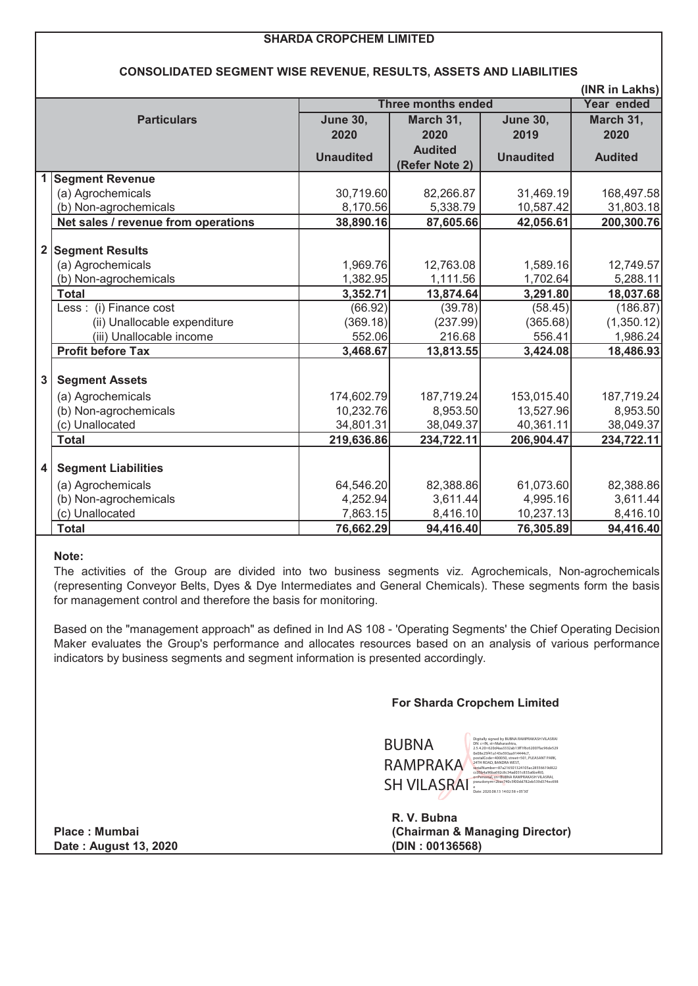|                         | <b>SHARDA CROPCHEM LIMITED</b>                                            |                         |                           |                         |                              |
|-------------------------|---------------------------------------------------------------------------|-------------------------|---------------------------|-------------------------|------------------------------|
|                         |                                                                           |                         |                           |                         |                              |
|                         | <b>CONSOLIDATED SEGMENT WISE REVENUE, RESULTS, ASSETS AND LIABILITIES</b> |                         |                           |                         |                              |
|                         |                                                                           |                         | <b>Three months ended</b> |                         | (INR in Lakhs)<br>Year ended |
|                         |                                                                           |                         |                           |                         |                              |
|                         | <b>Particulars</b>                                                        | <b>June 30,</b><br>2020 | March 31,<br>2020         | <b>June 30,</b><br>2019 | March 31,<br>2020            |
|                         |                                                                           |                         | <b>Audited</b>            |                         |                              |
|                         |                                                                           | <b>Unaudited</b>        | (Refer Note 2)            | <b>Unaudited</b>        | <b>Audited</b>               |
| 1                       | <b>Segment Revenue</b>                                                    |                         |                           |                         |                              |
|                         | (a) Agrochemicals                                                         | 30,719.60               | 82,266.87                 | 31,469.19               | 168,497.58                   |
|                         | (b) Non-agrochemicals                                                     | 8,170.56                | 5,338.79                  | 10,587.42               | 31,803.18                    |
|                         | Net sales / revenue from operations                                       | 38,890.16               | 87,605.66                 | 42,056.61               | 200,300.76                   |
|                         |                                                                           |                         |                           |                         |                              |
| $\overline{\mathbf{2}}$ | <b>Segment Results</b>                                                    |                         |                           |                         |                              |
|                         | (a) Agrochemicals                                                         | 1,969.76                | 12,763.08                 | 1,589.16                | 12,749.57                    |
|                         | (b) Non-agrochemicals                                                     | 1,382.95                | 1,111.56                  | 1,702.64                | 5,288.11                     |
|                         | <b>Total</b>                                                              | 3,352.71                | 13,874.64                 | 3,291.80                | 18,037.68                    |
|                         | Less : (i) Finance cost                                                   | (66.92)                 | (39.78)                   | (58.45)                 | (186.87)                     |
|                         | (ii) Unallocable expenditure                                              | (369.18)                | (237.99)                  | (365.68)                | (1,350.12)                   |
|                         | (iii) Unallocable income                                                  | 552.06                  | 216.68                    | 556.41                  | 1,986.24                     |
|                         | <b>Profit before Tax</b>                                                  | 3,468.67                | 13,813.55                 | 3,424.08                | 18,486.93                    |
| 3                       | <b>Segment Assets</b>                                                     |                         |                           |                         |                              |
|                         | (a) Agrochemicals                                                         | 174,602.79              | 187,719.24                | 153,015.40              | 187,719.24                   |
|                         | (b) Non-agrochemicals                                                     | 10,232.76               | 8,953.50                  | 13,527.96               | 8,953.50                     |
|                         | (c) Unallocated                                                           | 34,801.31               | 38,049.37                 | 40,361.11               | 38,049.37                    |
|                         | <b>Total</b>                                                              | 219,636.86              | 234,722.11                | 206,904.47              | 234,722.11                   |
|                         |                                                                           |                         |                           |                         |                              |
| 4                       | <b>Segment Liabilities</b>                                                |                         |                           |                         |                              |
|                         | (a) Agrochemicals                                                         | 64,546.20               | 82,388.86                 | 61,073.60               | 82,388.86                    |
|                         | (b) Non-agrochemicals                                                     | 4,252.94                | 3,611.44                  | 4,995.16                | 3,611.44                     |
|                         | (c) Unallocated                                                           | 7,863.15                | 8,416.10                  | 10,237.13               | 8,416.10                     |
|                         | <b>Total</b>                                                              | 76,662.29               | 94,416.40                 | 76,305.89               | 94,416.40                    |

#### **Note:**

The activities of the Group are divided into two business segments viz. Agrochemicals, Non-agrochemicals (representing Conveyor Belts, Dyes & Dye Intermediates and General Chemicals). These segments form the basis for management control and therefore the basis for monitoring.

Based on the "management approach" as defined in Ind AS 108 - 'Operating Segments' the Chief Operating Decision Maker evaluates the Group's performance and allocates resources based on an analysis of various performance indicators by business segments and segment information is presented accordingly.

#### **For Sharda Cropchem Limited**

BUBNA RAMPRAKA CCO5b4a96ba692c8c34ad031c833a6bef60, pseudonym=2bac740c40781ad031c8c5f00dd782eb539d374ec698<br> **SH VILASRAI** Pseudonym=2bac740c5f00dd782eb539d374ec698 Digitally signed by BUBNA RAMPRAKASH VILASRAI DN: c=IN, st=Maharashtra, 2.5.4.20=620d4aa3332ab13ff1f6c62007fac96de529 0e08e25f41a143e593aa914444c7, postalCode=400050, street=501, PLEASANT PARK, 24TH ROAD, BANDRA WEST, serialNumber=87a216501324105ac28556619d822

**R. V. Bubna Place : Mumbai (Chairman & Managing Director)**

**Date : August 13, 2020 (DIN : 00136568)**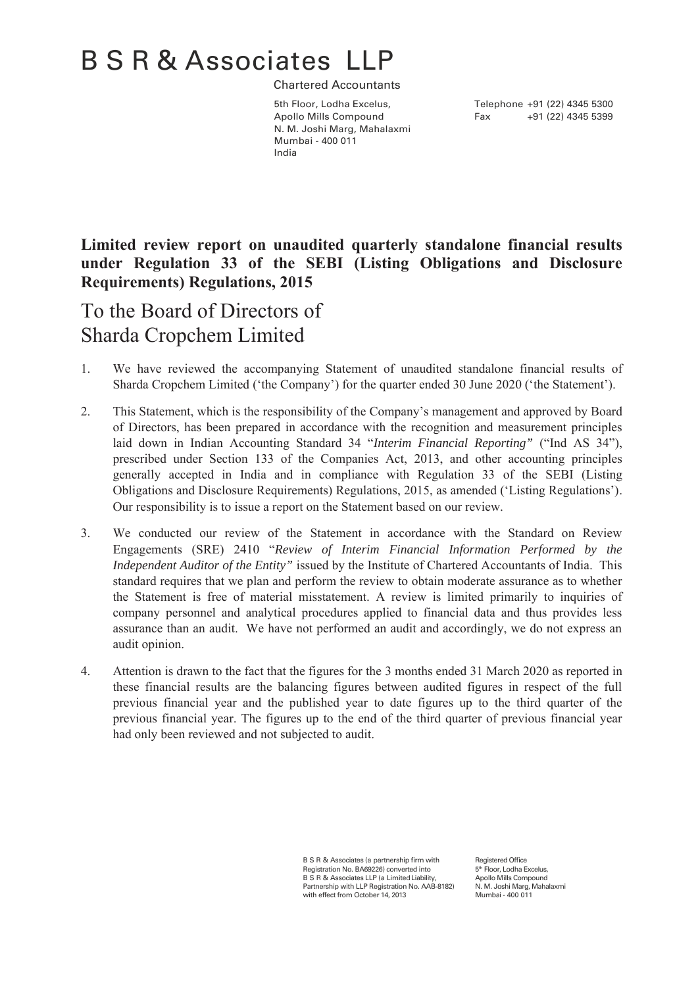# B S R & Associates LLP

Chartered Accountants

Apollo Mills Compound Fax +91 (22) 4345 5399 N. M. Joshi Marg, Mahalaxmi Mumbai - 400 011 India

5th Floor, Lodha Excelus, Telephone +91 (22) 4345 5300

## **Limited review report on unaudited quarterly standalone financial results under Regulation 33 of the SEBI (Listing Obligations and Disclosure Requirements) Regulations, 2015**

To the Board of Directors of Sharda Cropchem Limited

- 1. We have reviewed the accompanying Statement of unaudited standalone financial results of Sharda Cropchem Limited ('the Company') for the quarter ended 30 June 2020 ('the Statement').
- 2. This Statement, which is the responsibility of the Company's management and approved by Board of Directors, has been prepared in accordance with the recognition and measurement principles laid down in Indian Accounting Standard 34 "*Interim Financial Reporting"* ("Ind AS 34"), prescribed under Section 133 of the Companies Act, 2013, and other accounting principles generally accepted in India and in compliance with Regulation 33 of the SEBI (Listing Obligations and Disclosure Requirements) Regulations, 2015, as amended ('Listing Regulations'). Our responsibility is to issue a report on the Statement based on our review.
- 3. We conducted our review of the Statement in accordance with the Standard on Review Engagements (SRE) 2410 "*Review of Interim Financial Information Performed by the Independent Auditor of the Entity"* issued by the Institute of Chartered Accountants of India. This standard requires that we plan and perform the review to obtain moderate assurance as to whether the Statement is free of material misstatement. A review is limited primarily to inquiries of company personnel and analytical procedures applied to financial data and thus provides less assurance than an audit. We have not performed an audit and accordingly, we do not express an audit opinion.
- 4. Attention is drawn to the fact that the figures for the 3 months ended 31 March 2020 as reported in these financial results are the balancing figures between audited figures in respect of the full previous financial year and the published year to date figures up to the third quarter of the previous financial year. The figures up to the end of the third quarter of previous financial year had only been reviewed and not subjected to audit.

B S R & Associates (a partnership firm with Registration No. BA69226) converted into B S R & Associates LLP (a Limited Liability, Partnership with LLP Registration No. AAB-8182) with effect from October 14, 2013 Registered Office 5<sup>th</sup> Floor, Lodha Excelus Apollo Mills Compound N. M. Joshi Marg, Mahalaxmi Mumbai - 400 011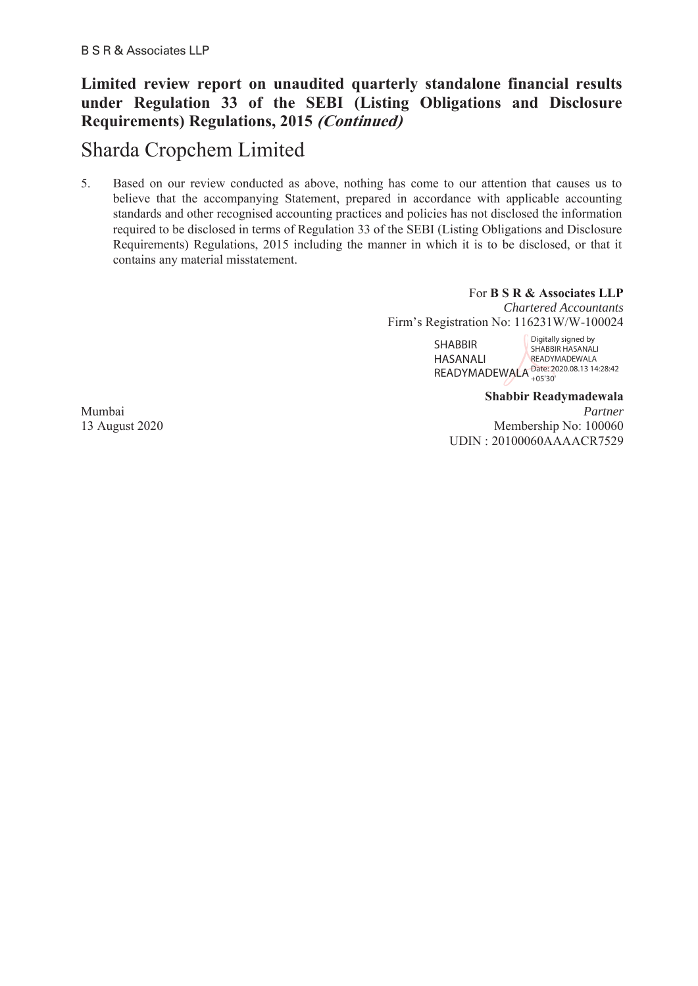### **Limited review report on unaudited quarterly standalone financial results under Regulation 33 of the SEBI (Listing Obligations and Disclosure Requirements) Regulations, 2015 (Continued)**

# Sharda Cropchem Limited

5. Based on our review conducted as above, nothing has come to our attention that causes us to believe that the accompanying Statement, prepared in accordance with applicable accounting standards and other recognised accounting practices and policies has not disclosed the information required to be disclosed in terms of Regulation 33 of the SEBI (Listing Obligations and Disclosure Requirements) Regulations, 2015 including the manner in which it is to be disclosed, or that it contains any material misstatement.

> For **B S R & Associates LLP** *Chartered Accountants* Firm's Registration No: 116231W/W-100024

SHABBIR HASANALI READYMADEWALA Date: 2020.08.13 14:28:42 Digitally signed by SHABBIR HASANALI **READYMADEWALA** +05'30'

**Shabbir Readymadewala**  Mumbai *Partner*  13 August 2020 Membership No: 100060 UDIN : 20100060AAAACR7529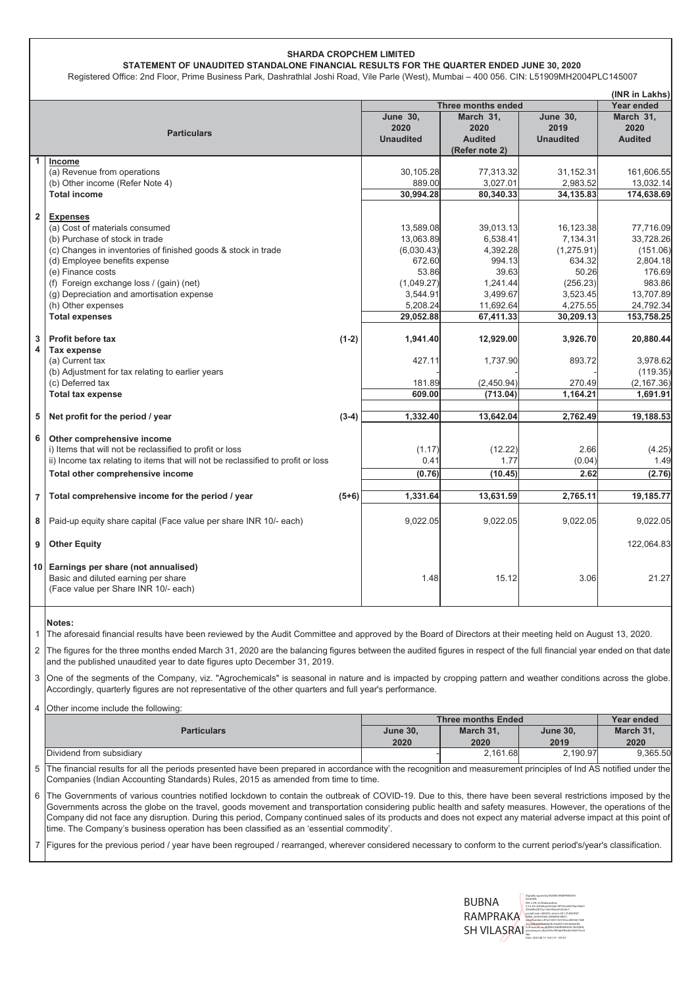#### **SHARDA CROPCHEM LIMITED**

STATEMENT OF UNAUDITED STANDALONE FINANCIAL RESULTS FOR THE QUARTER ENDED JUNE 30, 2020

Registered Office: 2nd Floor, Prime Business Park, Dashrathlal Joshi Road, Vile Parle (West), Mumbai - 400 056. CIN: L51909MH2004PLC145007

|                |                                                                                  |         |                    |                |                  | (INR in Lakhs) |
|----------------|----------------------------------------------------------------------------------|---------|--------------------|----------------|------------------|----------------|
|                |                                                                                  |         | Three months ended | Year ended     |                  |                |
|                |                                                                                  |         | <b>June 30,</b>    | March 31,      | <b>June 30,</b>  | March 31,      |
|                | <b>Particulars</b>                                                               |         | 2020               | 2020           | 2019             | 2020           |
|                |                                                                                  |         | <b>Unaudited</b>   | <b>Audited</b> | <b>Unaudited</b> | <b>Audited</b> |
|                |                                                                                  |         |                    | (Refer note 2) |                  |                |
| 1              | Income                                                                           |         |                    |                |                  |                |
|                | (a) Revenue from operations                                                      |         | 30.105.28          | 77,313.32      | 31,152.31        | 161,606.55     |
|                | (b) Other income (Refer Note 4)                                                  |         | 889.00             | 3,027.01       | 2,983.52         | 13,032.14      |
|                | <b>Total income</b>                                                              |         | 30.994.28          | 80,340.33      | 34,135.83        | 174,638.69     |
|                |                                                                                  |         |                    |                |                  |                |
| $\overline{2}$ | <b>Expenses</b>                                                                  |         |                    |                |                  |                |
|                | (a) Cost of materials consumed                                                   |         | 13,589.08          | 39.013.13      | 16.123.38        | 77,716.09      |
|                | (b) Purchase of stock in trade                                                   |         | 13,063.89          | 6,538.41       | 7,134.31         | 33,728.26      |
|                | (c) Changes in inventories of finished goods & stock in trade                    |         | (6,030.43)         | 4,392.28       | (1, 275.91)      | (151.06)       |
|                | (d) Employee benefits expense                                                    |         | 672.60             | 994.13         | 634.32           | 2,804.18       |
|                | (e) Finance costs                                                                |         | 53.86              | 39.63          | 50.26            | 176.69         |
|                | (f) Foreign exchange loss / (gain) (net)                                         |         | (1,049.27)         | 1,241.44       | (256.23)         | 983.86         |
|                | (g) Depreciation and amortisation expense                                        |         | 3,544.91           | 3,499.67       | 3,523.45         | 13,707.89      |
|                | (h) Other expenses                                                               |         | 5,208.24           | 11,692.64      | 4,275.55         | 24,792.34      |
|                | <b>Total expenses</b>                                                            |         | 29,052.88          | 67,411.33      | 30,209.13        | 153,758.25     |
| 3              | Profit before tax                                                                | $(1-2)$ | 1,941.40           | 12,929.00      | 3,926.70         | 20,880.44      |
| 4              | <b>Tax expense</b>                                                               |         |                    |                |                  |                |
|                | (a) Current tax                                                                  |         | 427.11             | 1,737.90       | 893.72           | 3,978.62       |
|                | (b) Adjustment for tax relating to earlier years                                 |         |                    |                |                  | (119.35)       |
|                | (c) Deferred tax                                                                 |         | 181.89             | (2,450.94)     | 270.49           | (2, 167.36)    |
|                | <b>Total tax expense</b>                                                         |         | 609.00             | (713.04)       | 1,164.21         | 1.691.91       |
|                |                                                                                  |         |                    |                |                  |                |
| 5              | Net profit for the period / year                                                 | $(3-4)$ | 1,332.40           | 13,642.04      | 2,762.49         | 19,188.53      |
|                |                                                                                  |         |                    |                |                  |                |
| 6              | Other comprehensive income                                                       |         |                    |                |                  |                |
|                | i) Items that will not be reclassified to profit or loss                         |         | (1.17)             | (12.22)        | 2.66             | (4.25)         |
|                | ii) Income tax relating to items that will not be reclassified to profit or loss |         | 0.41               | 1.77           | (0.04)           | 1.49           |
|                | Total other comprehensive income                                                 |         | (0.76)             | (10.45)        | 2.62             | (2.76)         |
|                |                                                                                  |         |                    |                |                  |                |
| $\overline{7}$ | Total comprehensive income for the period / year                                 | $(5+6)$ | 1,331.64           | 13,631.59      | 2,765.11         | 19,185.77      |
| 8              | Paid-up equity share capital (Face value per share INR 10/- each)                |         | 9,022.05           | 9,022.05       | 9.022.05         | 9,022.05       |
|                |                                                                                  |         |                    |                |                  |                |
| 9              | <b>Other Equity</b>                                                              |         |                    |                |                  | 122,064.83     |
| 10             | Earnings per share (not annualised)                                              |         |                    |                |                  |                |
|                | Basic and diluted earning per share                                              |         | 1.48               | 15.12          | 3.06             | 21.27          |
|                | (Face value per Share INR 10/- each)                                             |         |                    |                |                  |                |
|                |                                                                                  |         |                    |                |                  |                |

Notes:

The aforesaid financial results have been reviewed by the Audit Committee and approved by the Board of Directors at their meeting held on August 13, 2020.  $\overline{1}$ 

 $\overline{2}$ The figures for the three months ended March 31, 2020 are the balancing figures between the audited figures in respect of the full financial year ended on that date and the published unaudited year to date figures upto December 31, 2019.

 $\overline{3}$ One of the segments of the Company, viz. "Agrochemicals" is seasonal in nature and is impacted by cropping pattern and weather conditions across the globe. Accordingly, quarterly figures are not representative of the other quarters and full year's performance.

4 Other income include the following:

|                          | <b>Three months Ended</b> | Year ended |                 |           |  |
|--------------------------|---------------------------|------------|-----------------|-----------|--|
| <b>Particulars</b>       | <b>June 30.</b>           | March 31.  | <b>June 30.</b> | March 31. |  |
|                          | 2020                      | 2020       | 2019            | 2020      |  |
| Dividend from subsidiary |                           | 2.161.68   | 2.190.97        | 9,365.50  |  |

 $\overline{5}$ The financial results for all the periods presented have been prepared in accordance with the recognition and measurement principles of Ind AS notified under the Companies (Indian Accounting Standards) Rules, 2015 as amended from time to time.

 $6\phantom{a}$ The Governments of various countries notified lockdown to contain the outbreak of COVID-19. Due to this, there have been several restrictions imposed by the Governments across the globe on the travel, goods movement and transportation considering public health and safety measures. However, the operations of the Company did not face any disruption. During this period, Company continued sales of its products and does not expect any material adverse impact at this point of time. The Company's business operation has been classified as an 'essential commodity'.

 $\overline{7}$ Figures for the previous period / year have been regrouped / rearranged, wherever considered necessary to conform to the current period's/year's classification.